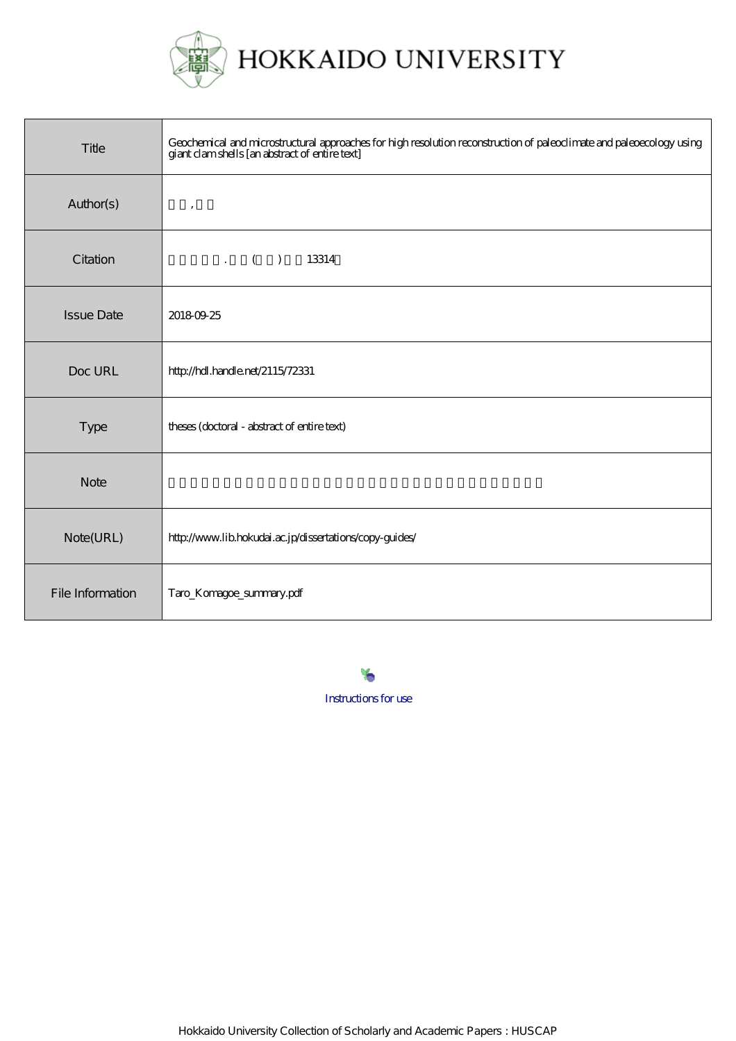

## HOKKAIDO UNIVERSITY

| Title             | Geochemical and microstructural approaches for high resolution reconstruction of paleoclimate and paleoecology using<br>giant clamshells [an abstract of entire text] |
|-------------------|-----------------------------------------------------------------------------------------------------------------------------------------------------------------------|
| Author(s)         | $^\mathrm{^\mathrm{o}}$                                                                                                                                               |
| Citation          | $\cdot$ ( )<br>13314                                                                                                                                                  |
| <b>Issue Date</b> | 20180925                                                                                                                                                              |
| Doc URL           | http://hdl.handle.net/2115/72331                                                                                                                                      |
| Type              | theses (doctoral - abstract of entire text)                                                                                                                           |
| <b>Note</b>       |                                                                                                                                                                       |
| Note(URL)         | http://www.lib.hokudai.ac.jp/dissertations/copy-guides/                                                                                                               |
| File Information  | Taro_Komagoe_summary.pdf                                                                                                                                              |

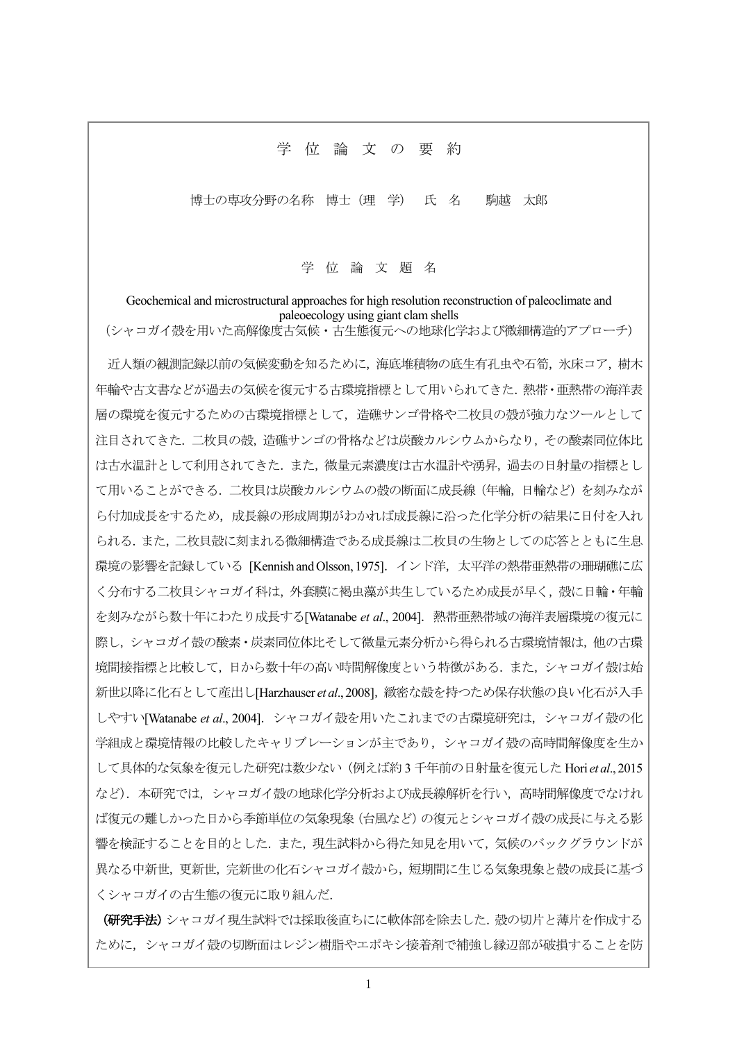## 学 位 論 文 の 要 約

博士の専攻分野の名称 博士 (理 学) 氏 名 駒越 太郎

学位論文題名

Geochemical and microstructural approaches for high resolution reconstruction of paleoclimate and paleoecology using giant clam shells

(シャコガイ殻を用いた高解像度古気候·古生態復元への地球化学および微細構造的アプローチ)

近人類の観測記録以前の気候変動を知るために、海底堆積物の底生有孔虫や石筍、氷床コア、樹木 年輪や古文書などが過去の気候を復元する古環境指標として用いられてきた、熱帯・亜熱帯の海洋表 層の環境を復元するための古環境指標として、造礁サンゴ骨格や二枚貝の殻が強力なツールとして 注目されてきた. 二枚貝の殻、造礁サンゴの骨格などは炭酸カルシウムからなり、その酸素同位体比 は古水温計として利用されてきた.また、微量元素濃度は古水温計や湧昇、過去の日射量の指標とし て用いることができる. 二枚貝は炭酸カルシウムの殻の断面に成長線 (年輪、日輪など) を刻みなが ら付加成長をするため、成長線の形成周期がわかれば成長線に沿った化学分析の結果に日付を入れ られる. また, 二枚貝殻に刻まれる微細構造である成長線は二枚貝の生物としての応答とともに生息 環境の影響を記録している [Kennish and Olsson, 1975]. インド洋, 太平洋の熱帯亜熱帯の珊瑚礁に広 く分布する二枚貝シャコガイ科は、外套膜に褐虫藻が共生しているため成長が早く、殻に日輪・年輪 を刻みながら数十年にわたり成長する[Watanabe et al., 2004]. 熱帯亜熱帯域の海洋表層環境の復元に 際し、シャコガイ殻の酸素・炭素同位体比そして微量元素分析から得られる古環境情報は、他の古環 境間接指標と比較して,日から数十年の高い時間解像度という特徴がある.また,シャコガイ殻は始 新世以降に化石として産出し[Harzhauser et al., 2008], 緻密な殻を持つため保存状態の良い化石が入手 しやすい[Watanabe et al., 2004]. シャコガイ殻を用いたこれまでの古環境研究は、シャコガイ殻の化 学組成と環境情報の比較したキャリブレーションが主であり、シャコガイ殻の高時間解像度を生か して具体的な気象を復元した研究は数少ない(例えば約3千年前の日射量を復元した Hori et al., 2015 など). 本研究では、シャコガイ殻の地球化学分析および成長線解析を行い、高時間解像度でなけれ ば復元の難しかった日から秊節単位の気象現象 (台風など) の復元とシャコガイ殻の成長に与える影 響を検証することを目的とした. また、現生試料から得た知見を用いて、気候のバックグラウンドが 異なる中新世, 更新世, 完新世の化石シャコガイ殻から, 短期間に生じる気象現象と殻の成長に基づ くシャコガイの古生熊の復元に取り組んだ.

(研究手法) シャコガイ現生試料では採取後直ちにに軟体部を除去した. 殻の切片と薄片を作成する ために、シャコガイ殻の切断面はレジン樹脂やエポキシ接着剤で補強し縁辺部が破損することを防

 $\mathbf{1}$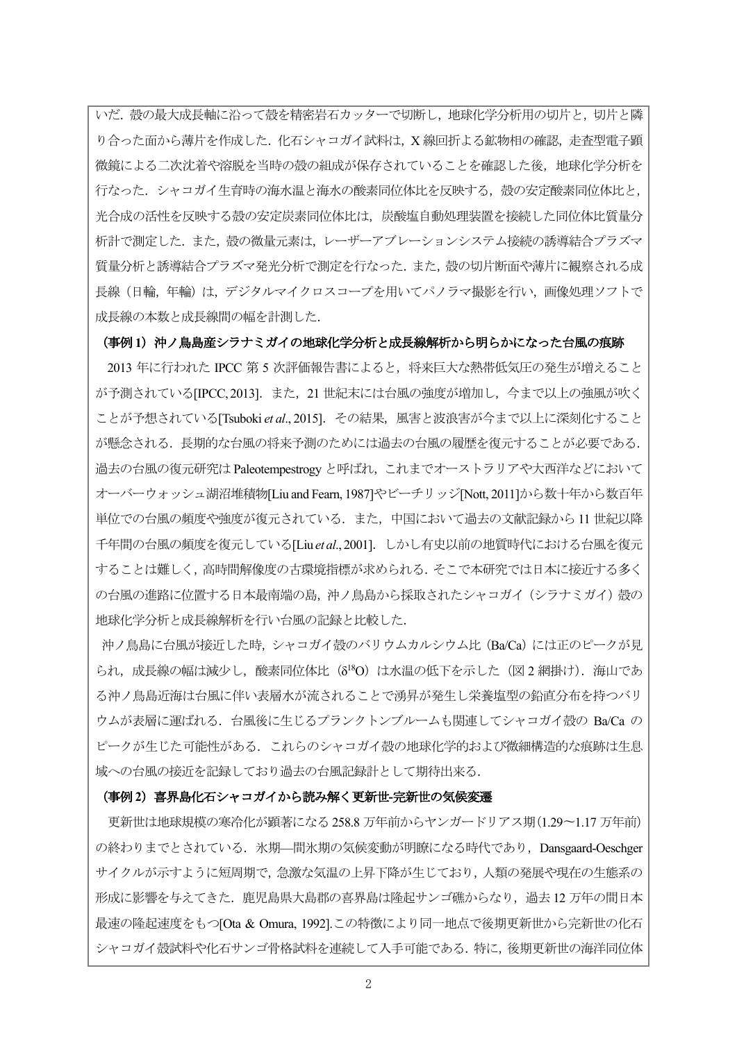いだ. 殻の最大成長軸に沿って殻を精密岩石カッターで切断し、地球化学分析用の切片と、切片と隣 り合った面から薄片を作成した. 化石シャコガイ試料は, X線回折よる鉱物相の確認, 走査型電子顕 微鏡による二次沈着や溶脱を当時の殻の組成が保存されていることを確認した後,地球化学分析を 行なった. シャコガイ生育時の海水温と海水の酸素同位体比を反映する, 殻の安定酸素同位体比と, 光合成の活性を反映する殻の安定炭素同位体比は、炭酸塩自動処理装置を接続した同位体比質量分 析計で測定した. また、殻の微量元素は、レーザーアブレーションシステム接続の誘導結合プラズマ 質量分析と誘導結合プラズマ発光分析で測定を行なった. また、殻の切片断面や薄片に観察される成 長線(日輪、年輪)は、デジタルマイクロスコープを用いてパノラマ撮影を行い、画像処理ソフトで 成長線の本数と成長線間の幅を計測した.

## (事例1) 沖ノ鳥島産シラナミガイの地球化学分析と成長線解析から明らかになった台風の痕跡

2013 年に行われた IPCC 第 5 次評価報告書によると、将来巨大な熱帯低気圧の発生が増えること が予測されている[IPCC,2013]. また, 21 世紀末には台風の強度が増加し, 今まで以上の強風が吹く ことが予想されている[Tsuboki et al., 2015]. その結果, 風害と波浪害が今まで以上に深刻化すること が懸念される.長期的な台風の将来予測のためには過去の台風の履歴を復元することが必要である. 過去の台風の復元研究は Paleotempestrogy と呼ばれ、これまでオーストラリアや大西洋などにおいて オーバーウォッシュ湖沼堆積物[Liu and Fearn, 1987]やビーチリッジ[Nott, 2011]から数十年から数百年 単位での台風の頻度や強度が復元されている. また, 中国において過去の文献記録から 11 世紀以降 千年間の台風の頻度を復元している[Liuetal.,2001]. しかし有史以前の地質時代における台風を復元 することは難しく,高時間解像度の古環境指標が求められる. そこで本研究では日本に接近する多く の台風の進路に位置する日本最南端の島、沖ノ鳥島から採取されたシャコガイ (シラナミガイ) 殻の 地球化学分析と成長線解析を行い台風の記録と比較した.

沖ノ鳥島に台風が接近した時、シャコガイ殻のバリウムカルシウム比 (Ba/Ca) には正のピークが見 られ、成長線の幅は減少し、酸素同位体比 (8<sup>18</sup>O) は水温の低下を示した (図2 網掛け). 海山であ る沖ノ鳥島近海は台風に伴い表層水が流されることで湧昇が発生し栄養塩型の鉛直分布を持つバリ ウムが表層に運ばれる. 台風後に生じるプランクトンブルームも関連してシャコガイ殻の Ba/Ca の ピークが生じた可能性がある。これらのシャコガイ殻の地球化学的および微細構造的な痕跡は生息 域への台風の接近を記録しており過去の台風記録計として期待出来る.

## (事例2) 喜界島化石シャコガイから読み解く更新世-完新世の気候変遷

更新世は地球規模の寒冷化が顕著になる 258.8 万年前からヤンガードリアス期(1.29~1.17 万年前) の終わりまでとされている. 氷期–間氷期の気候変動が明瞭になる時代であり、Dansgaard-Oeschger サイクルが示すように短周期で、急激な気温の上昇下降が生じており、人類の発展や現在の生態系の 形成に影響を与えてきた. 鹿児島県大島郡の喜界島は隆起サンゴ礁からなり、過去12万年の間日本 最速の隆起速度をもつ[Ota & Omura, 1992].この特徴により同一地点で後期更新世から完新世の化石 シャコガイ殻試料や化石サンゴ骨格試料を連続して入手可能である。特に、後期更新世の海洋同位体